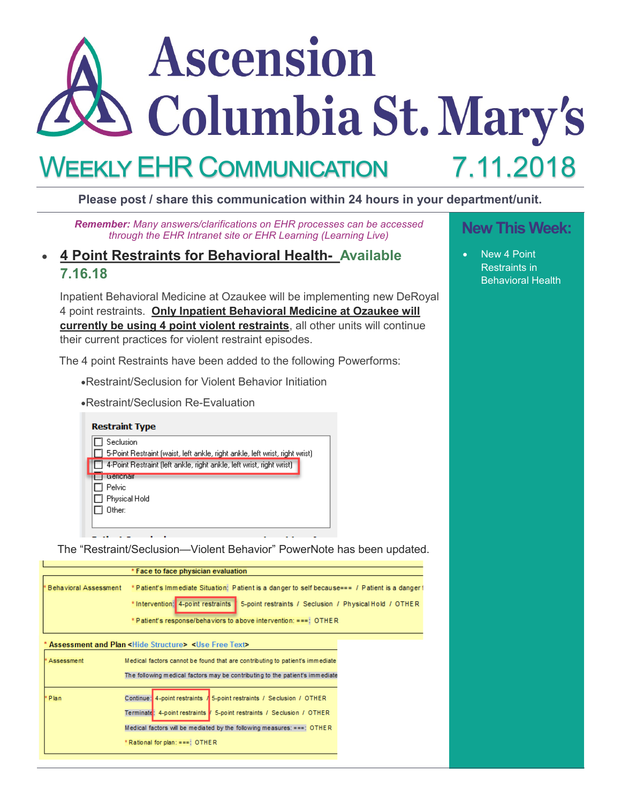## Ascension Columbia St. Mary's 7.11.2018 Weekly EHR Communication

## **Please post / share this communication within 24 hours in your department/unit.**

**New This Week:** *Remember: Many answers/clarifications on EHR processes can be accessed through the EHR Intranet site or EHR Learning (Learning Live)*

• **4 Point Restraints for Behavioral Health- Available 7.16.18**

Inpatient Behavioral Medicine at Ozaukee will be implementing new DeRoyal 4 point restraints. **Only Inpatient Behavioral Medicine at Ozaukee will currently be using 4 point violent restraints**, all other units will continue their current practices for violent restraint episodes.

The 4 point Restraints have been added to the following Powerforms:

•Restraint/Seclusion for Violent Behavior Initiation

•Restraint/Seclusion Re-Evaluation

| <b>Restraint Type</b>                                                                   |  |  |  |  |  |  |  |  |
|-----------------------------------------------------------------------------------------|--|--|--|--|--|--|--|--|
| Seclusion                                                                               |  |  |  |  |  |  |  |  |
| ] 5-Point R <u>estraint (waist, left ankle, right ankle, left wrist, right w</u> rist). |  |  |  |  |  |  |  |  |
| 4-Point Restraint (left ankle, right ankle, left wrist, right wrist)                    |  |  |  |  |  |  |  |  |
| treflonair                                                                              |  |  |  |  |  |  |  |  |
| Pelvic                                                                                  |  |  |  |  |  |  |  |  |
| Physical Hold                                                                           |  |  |  |  |  |  |  |  |
| Other:                                                                                  |  |  |  |  |  |  |  |  |
|                                                                                         |  |  |  |  |  |  |  |  |
|                                                                                         |  |  |  |  |  |  |  |  |

The "Restraint/Seclusion—Violent Behavior" PowerNote has been updated.

|                                                          | * Face to face physician evaluation                                                                                                                                                                                                                                |  |  |  |  |  |  |  |  |  |
|----------------------------------------------------------|--------------------------------------------------------------------------------------------------------------------------------------------------------------------------------------------------------------------------------------------------------------------|--|--|--|--|--|--|--|--|--|
| Behavioral Assessment                                    | *Patient's Immediate Situation: Patient is a danger to self because=== / Patient is a danger t<br>* Intervention: 4-point restraints<br>5-point restraints / Seclusion / Physical Hold / OTHER<br>* Patient's response/behaviors to above intervention: ===: OTHER |  |  |  |  |  |  |  |  |  |
|                                                          |                                                                                                                                                                                                                                                                    |  |  |  |  |  |  |  |  |  |
| * Assessment and Plan < Hide Structure> < Use Free Text> |                                                                                                                                                                                                                                                                    |  |  |  |  |  |  |  |  |  |
| Assessment                                               | Medical factors cannot be found that are contributing to patient's immediate<br>The following medical factors may be contributing to the patient's immediate                                                                                                       |  |  |  |  |  |  |  |  |  |
| Plan                                                     | Continue: 4-point restraints / 5-point restraints / Seclusion / OTHER<br>Terminate: 4-point restraints / 5-point restraints / Seclusion / OTHER<br>Medical factors will be mediated by the following measures: ===: OTHER<br>* Rational for plan: ===: OTHER       |  |  |  |  |  |  |  |  |  |

New 4 Point Restraints in Behavioral Health